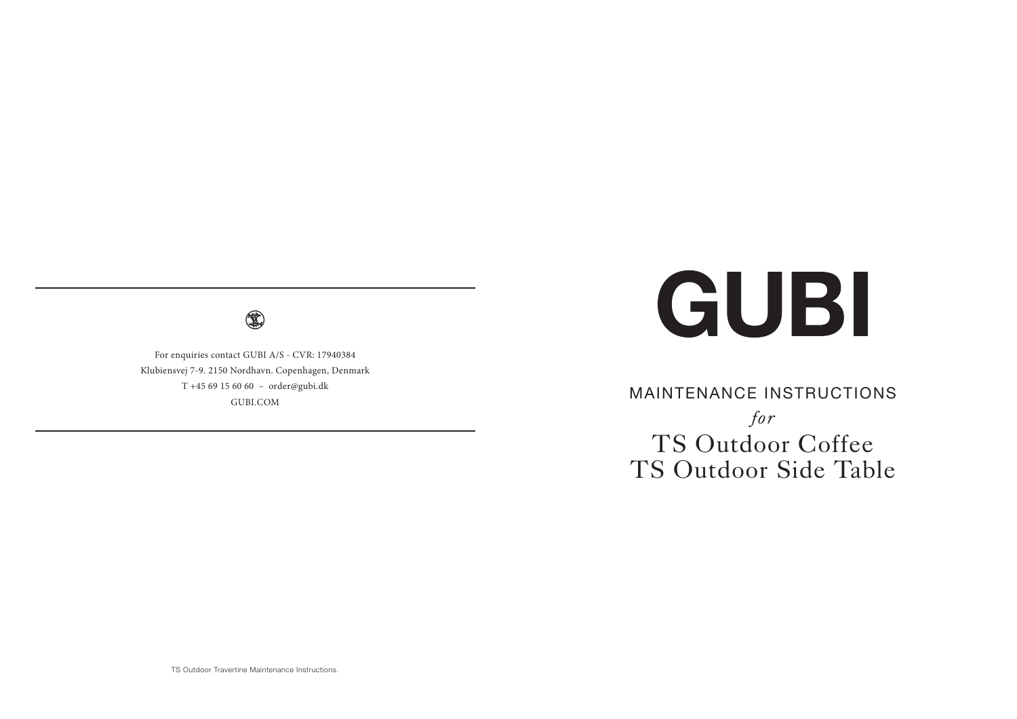4

For enquiries contact GUBI A/S - CVR: 17940384 Klubiensvej 7-9. 2150 Nordhavn. Copenhagen, Denmark T +45 69 15 60 60 – order@gubi.dk GUBI.COM

# GUBI

MAINTENANCE INSTRUCTIONS *for* TS Outdoor Coffee TS Outdoor Side Table

TS Outdoor Travertine Maintenance Instructions.